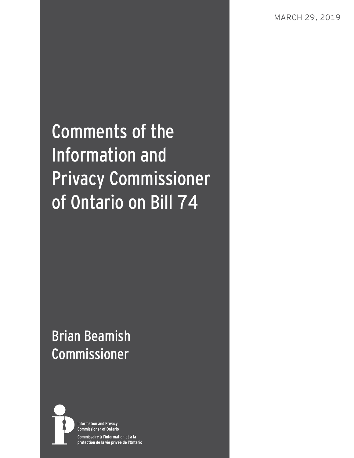# Comments of the Information and Privacy Commissioner of Ontario on Bill 74

## Brian Beamish Commissioner



**Information and Privacy Commissioner of Ontario** Commissaire à l'information et à la protection de la vie privée de l'Ontario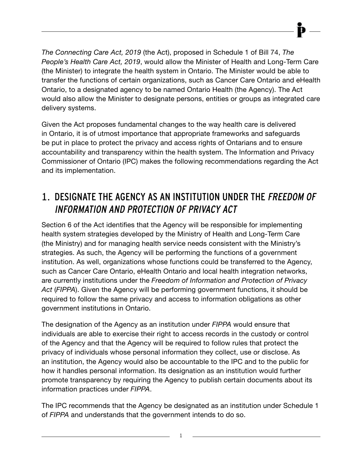*The Connecting Care Act, 2019* (the Act), proposed in Schedule 1 of Bill 74, *The People's Health Care Act, 2019*, would allow the Minister of Health and Long-Term Care (the Minister) to integrate the health system in Ontario. The Minister would be able to transfer the functions of certain organizations, such as Cancer Care Ontario and eHealth Ontario, to a designated agency to be named Ontario Health (the Agency). The Act would also allow the Minister to designate persons, entities or groups as integrated care delivery systems.

Given the Act proposes fundamental changes to the way health care is delivered in Ontario, it is of utmost importance that appropriate frameworks and safeguards be put in place to protect the privacy and access rights of Ontarians and to ensure accountability and transparency within the health system. The Information and Privacy Commissioner of Ontario (IPC) makes the following recommendations regarding the Act and its implementation.

## 1. DESIGNATE THE AGENCY AS AN INSTITUTION UNDER THE FREEDOM OF INFORMATION AND PROTECTION OF PRIVACY ACT

Section 6 of the Act identifies that the Agency will be responsible for implementing health system strategies developed by the Ministry of Health and Long-Term Care (the Ministry) and for managing health service needs consistent with the Ministry's strategies. As such, the Agency will be performing the functions of a government institution. As well, organizations whose functions could be transferred to the Agency, such as Cancer Care Ontario, eHealth Ontario and local health integration networks, are currently institutions under the *Freedom of Information and Protection of Privacy Act* (*FIPPA*). Given the Agency will be performing government functions, it should be required to follow the same privacy and access to information obligations as other government institutions in Ontario.

The designation of the Agency as an institution under *FIPPA* would ensure that individuals are able to exercise their right to access records in the custody or control of the Agency and that the Agency will be required to follow rules that protect the privacy of individuals whose personal information they collect, use or disclose. As an institution, the Agency would also be accountable to the IPC and to the public for how it handles personal information. Its designation as an institution would further promote transparency by requiring the Agency to publish certain documents about its information practices under *FIPPA*.

The IPC recommends that the Agency be designated as an institution under Schedule 1 of *FIPPA* and understands that the government intends to do so.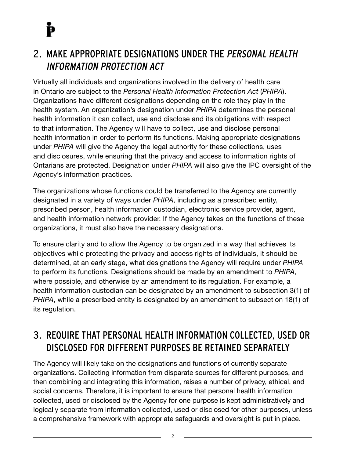## 2. MAKE APPROPRIATE DESIGNATIONS UNDER THE PERSONAL HEALTH INFORMATION PROTECTION ACT

Virtually all individuals and organizations involved in the delivery of health care in Ontario are subject to the *Personal Health Information Protection Act* (*PHIPA*). Organizations have different designations depending on the role they play in the health system. An organization's designation under *PHIPA* determines the personal health information it can collect, use and disclose and its obligations with respect to that information. The Agency will have to collect, use and disclose personal health information in order to perform its functions. Making appropriate designations under *PHIPA* will give the Agency the legal authority for these collections, uses and disclosures, while ensuring that the privacy and access to information rights of Ontarians are protected. Designation under *PHIPA* will also give the IPC oversight of the Agency's information practices.

The organizations whose functions could be transferred to the Agency are currently designated in a variety of ways under *PHIPA*, including as a prescribed entity, prescribed person, health information custodian, electronic service provider, agent, and health information network provider. If the Agency takes on the functions of these organizations, it must also have the necessary designations.

To ensure clarity and to allow the Agency to be organized in a way that achieves its objectives while protecting the privacy and access rights of individuals, it should be determined, at an early stage, what designations the Agency will require under *PHIPA* to perform its functions. Designations should be made by an amendment to *PHIPA*, where possible, and otherwise by an amendment to its regulation. For example, a health information custodian can be designated by an amendment to subsection 3(1) of *PHIPA*, while a prescribed entity is designated by an amendment to subsection 18(1) of its regulation.

## 3. REQUIRE THAT PERSONAL HEALTH INFORMATION COLLECTED, USED OR DISCLOSED FOR DIFFERENT PURPOSES BE RETAINED SEPARATELY

The Agency will likely take on the designations and functions of currently separate organizations. Collecting information from disparate sources for different purposes, and then combining and integrating this information, raises a number of privacy, ethical, and social concerns. Therefore, it is important to ensure that personal health information collected, used or disclosed by the Agency for one purpose is kept administratively and logically separate from information collected, used or disclosed for other purposes, unless a comprehensive framework with appropriate safeguards and oversight is put in place.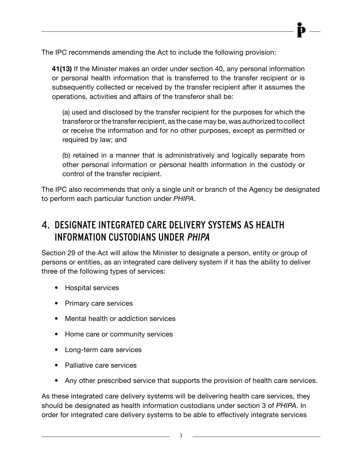The IPC recommends amending the Act to include the following provision:

**41(13)** If the Minister makes an order under section 40, any personal information or personal health information that is transferred to the transfer recipient or is subsequently collected or received by the transfer recipient after it assumes the operations, activities and affairs of the transferor shall be:

(a) used and disclosed by the transfer recipient for the purposes for which the transferor or the transfer recipient, as the case may be, was authorized to collect or receive the information and for no other purposes, except as permitted or required by law; and

(b) retained in a manner that is administratively and logically separate from other personal information or personal health information in the custody or control of the transfer recipient.

The IPC also recommends that only a single unit or branch of the Agency be designated to perform each particular function under *PHIPA*.

## 4. DESIGNATE INTEGRATED CARE DELIVERY SYSTEMS AS HEALTH INFORMATION CUSTODIANS UNDER PHIPA

Section 29 of the Act will allow the Minister to designate a person, entity or group of persons or entities, as an integrated care delivery system if it has the ability to deliver three of the following types of services:

- Hospital services
- Primary care services
- Mental health or addiction services
- Home care or community services
- Long-term care services
- Palliative care services
- Any other prescribed service that supports the provision of health care services.

As these integrated care delivery systems will be delivering health care services, they should be designated as health information custodians under section 3 of *PHIPA*. In order for integrated care delivery systems to be able to effectively integrate services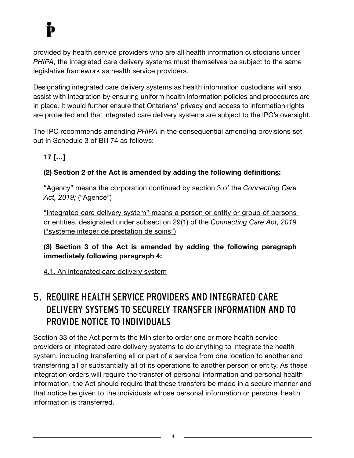provided by health service providers who are all health information custodians under *PHIPA*, the integrated care delivery systems must themselves be subject to the same legislative framework as health service providers.

Designating integrated care delivery systems as health information custodians will also assist with integration by ensuring uniform health information policies and procedures are in place. It would further ensure that Ontarians' privacy and access to information rights are protected and that integrated care delivery systems are subject to the IPC's oversight.

The IPC recommends amending *PHIPA* in the consequential amending provisions set out in Schedule 3 of Bill 74 as follows:

#### **17 […]**

#### **(2) Section 2 of the Act is amended by adding the following definitions:**

"Agency" means the corporation continued by section 3 of the *Connecting Care Act, 2019;* ("Agence")

"integrated care delivery system" means a person or entity or group of persons or entities, designated under subsection 29(1) of the *Connecting Care Act, 2019*  ("systeme integer de prestation de soins")

#### **(3) Section 3 of the Act is amended by adding the following paragraph immediately following paragraph 4:**

4.1. An integrated care delivery system

## 5. REQUIRE HEALTH SERVICE PROVIDERS AND INTEGRATED CARE DELIVERY SYSTEMS TO SECURELY TRANSFER INFORMATION AND TO PROVIDE NOTICE TO INDIVIDUALS

Section 33 of the Act permits the Minister to order one or more health service providers or integrated care delivery systems to do anything to integrate the health system, including transferring all or part of a service from one location to another and transferring all or substantially all of its operations to another person or entity. As these integration orders will require the transfer of personal information and personal health information, the Act should require that these transfers be made in a secure manner and that notice be given to the individuals whose personal information or personal health information is transferred.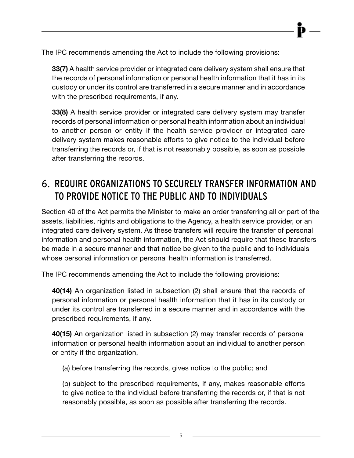The IPC recommends amending the Act to include the following provisions:

**33(7)** A health service provider or integrated care delivery system shall ensure that the records of personal information or personal health information that it has in its custody or under its control are transferred in a secure manner and in accordance with the prescribed requirements, if any.

**33(8)** A health service provider or integrated care delivery system may transfer records of personal information or personal health information about an individual to another person or entity if the health service provider or integrated care delivery system makes reasonable efforts to give notice to the individual before transferring the records or, if that is not reasonably possible, as soon as possible after transferring the records.

## 6. REQUIRE ORGANIZATIONS TO SECURELY TRANSFER INFORMATION AND TO PROVIDE NOTICE TO THE PUBLIC AND TO INDIVIDUALS

Section 40 of the Act permits the Minister to make an order transferring all or part of the assets, liabilities, rights and obligations to the Agency, a health service provider, or an integrated care delivery system. As these transfers will require the transfer of personal information and personal health information, the Act should require that these transfers be made in a secure manner and that notice be given to the public and to individuals whose personal information or personal health information is transferred.

The IPC recommends amending the Act to include the following provisions:

**40(14)** An organization listed in subsection (2) shall ensure that the records of personal information or personal health information that it has in its custody or under its control are transferred in a secure manner and in accordance with the prescribed requirements, if any.

**40(15)** An organization listed in subsection (2) may transfer records of personal information or personal health information about an individual to another person or entity if the organization,

(a) before transferring the records, gives notice to the public; and

(b) subject to the prescribed requirements, if any, makes reasonable efforts to give notice to the individual before transferring the records or, if that is not reasonably possible, as soon as possible after transferring the records.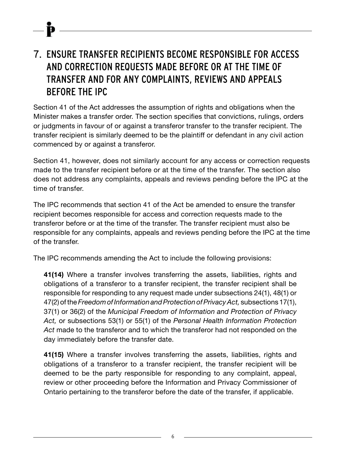## 7. ENSURE TRANSFER RECIPIENTS BECOME RESPONSIBLE FOR ACCESS AND CORRECTION REQUESTS MADE BEFORE OR AT THE TIME OF TRANSFER AND FOR ANY COMPLAINTS, REVIEWS AND APPEALS BEFORE THE IPC

Section 41 of the Act addresses the assumption of rights and obligations when the Minister makes a transfer order. The section specifies that convictions, rulings, orders or judgments in favour of or against a transferor transfer to the transfer recipient. The transfer recipient is similarly deemed to be the plaintiff or defendant in any civil action commenced by or against a transferor.

Section 41, however, does not similarly account for any access or correction requests made to the transfer recipient before or at the time of the transfer. The section also does not address any complaints, appeals and reviews pending before the IPC at the time of transfer.

The IPC recommends that section 41 of the Act be amended to ensure the transfer recipient becomes responsible for access and correction requests made to the transferor before or at the time of the transfer. The transfer recipient must also be responsible for any complaints, appeals and reviews pending before the IPC at the time of the transfer.

The IPC recommends amending the Act to include the following provisions:

**41(14)** Where a transfer involves transferring the assets, liabilities, rights and obligations of a transferor to a transfer recipient, the transfer recipient shall be responsible for responding to any request made under subsections 24(1), 48(1) or 47(2) of the *Freedom of Information and Protection of Privacy Act,* subsections 17(1), 37(1) or 36(2) of the *Municipal Freedom of Information and Protection of Privacy Act,* or subsections 53(1) or 55(1) of the *Personal Health Information Protection Act* made to the transferor and to which the transferor had not responded on the day immediately before the transfer date.

**41(15)** Where a transfer involves transferring the assets, liabilities, rights and obligations of a transferor to a transfer recipient, the transfer recipient will be deemed to be the party responsible for responding to any complaint, appeal, review or other proceeding before the Information and Privacy Commissioner of Ontario pertaining to the transferor before the date of the transfer, if applicable.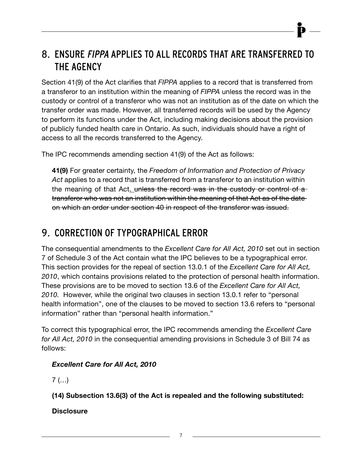## 8. ENSURE FIPPA APPLIES TO ALL RECORDS THAT ARE TRANSFERRED TO THE AGENCY

Section 41(9) of the Act clarifies that *FIPPA* applies to a record that is transferred from a transferor to an institution within the meaning of *FIPPA* unless the record was in the custody or control of a transferor who was not an institution as of the date on which the transfer order was made. However, all transferred records will be used by the Agency to perform its functions under the Act, including making decisions about the provision of publicly funded health care in Ontario. As such, individuals should have a right of access to all the records transferred to the Agency.

The IPC recommends amending section 41(9) of the Act as follows:

**41(9)** For greater certainty, the *Freedom of Information and Protection of Privacy Act* applies to a record that is transferred from a transferor to an institution within the meaning of that Act. unless the record was in the custody or control of a transferor who was not an institution within the meaning of that Act as of the date on which an order under section 40 in respect of the transferor was issued.

### 9. CORRECTION OF TYPOGRAPHICAL ERROR

The consequential amendments to the *Excellent Care for All Act, 2010* set out in section 7 of Schedule 3 of the Act contain what the IPC believes to be a typographical error. This section provides for the repeal of section 13.0.1 of the *Excellent Care for All Act, 2010*, which contains provisions related to the protection of personal health information. These provisions are to be moved to section 13.6 of the *Excellent Care for All Act, 2010.* However, while the original two clauses in section 13.0.1 refer to "personal health information", one of the clauses to be moved to section 13.6 refers to "personal information" rather than "personal health information."

To correct this typographical error, the IPC recommends amending the *Excellent Care for All Act, 2010* in the consequential amending provisions in Schedule 3 of Bill 74 as follows:

#### *Excellent Care for All Act, 2010*

 $7$  (...)

**(14) Subsection 13.6(3) of the Act is repealed and the following substituted:**

#### **Disclosure**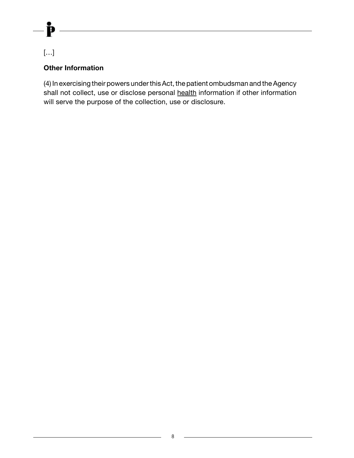#### $[\ldots]$

þ

#### **Other Information**

(4) In exercising their powers under this Act, the patient ombudsman and the Agency shall not collect, use or disclose personal health information if other information will serve the purpose of the collection, use or disclosure.